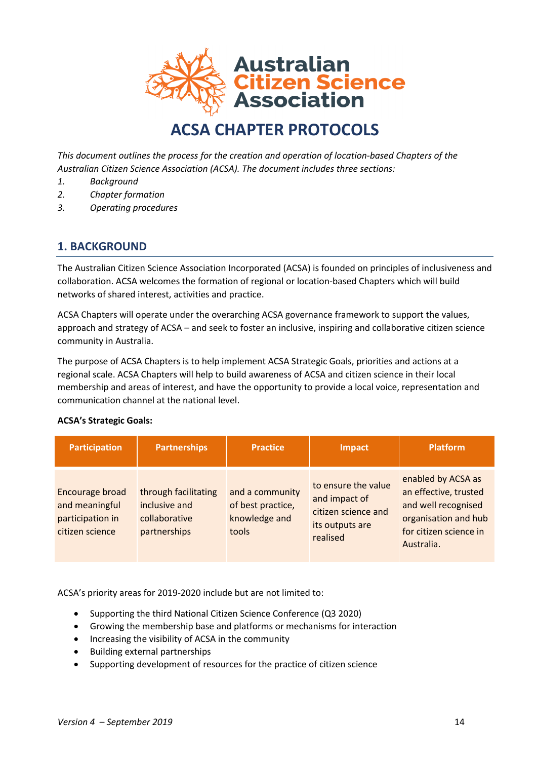

# **ACSA CHAPTER PROTOCOLS**

*This document outlines the process for the creation and operation of location-based Chapters of the Australian Citizen Science Association (ACSA). The document includes three sections:*

- *1. Background*
- *2. Chapter formation*
- *3. Operating procedures*

## **1. BACKGROUND**

The Australian Citizen Science Association Incorporated (ACSA) is founded on principles of inclusiveness and collaboration. ACSA welcomes the formation of regional or location-based Chapters which will build networks of shared interest, activities and practice.

ACSA Chapters will operate under the overarching ACSA governance framework to support the values, approach and strategy of ACSA – and seek to foster an inclusive, inspiring and collaborative citizen science community in Australia.

The purpose of ACSA Chapters is to help implement ACSA Strategic Goals, priorities and actions at a regional scale. ACSA Chapters will help to build awareness of ACSA and citizen science in their local membership and areas of interest, and have the opportunity to provide a local voice, representation and communication channel at the national level.

#### **ACSA's Strategic Goals:**

| <b>Participation</b>                                                     | <b>Partnerships</b>                                                    | <b>Practice</b>                                                | Impact                                                                                     | <b>Platform</b>                                                                                                                    |
|--------------------------------------------------------------------------|------------------------------------------------------------------------|----------------------------------------------------------------|--------------------------------------------------------------------------------------------|------------------------------------------------------------------------------------------------------------------------------------|
| Encourage broad<br>and meaningful<br>participation in<br>citizen science | through facilitating<br>inclusive and<br>collaborative<br>partnerships | and a community<br>of best practice,<br>knowledge and<br>tools | to ensure the value<br>and impact of<br>citizen science and<br>its outputs are<br>realised | enabled by ACSA as<br>an effective, trusted<br>and well recognised<br>organisation and hub<br>for citizen science in<br>Australia. |

ACSA's priority areas for 2019-2020 include but are not limited to:

- Supporting the third National Citizen Science Conference (Q3 2020)
- Growing the membership base and platforms or mechanisms for interaction
- Increasing the visibility of ACSA in the community
- Building external partnerships
- Supporting development of resources for the practice of citizen science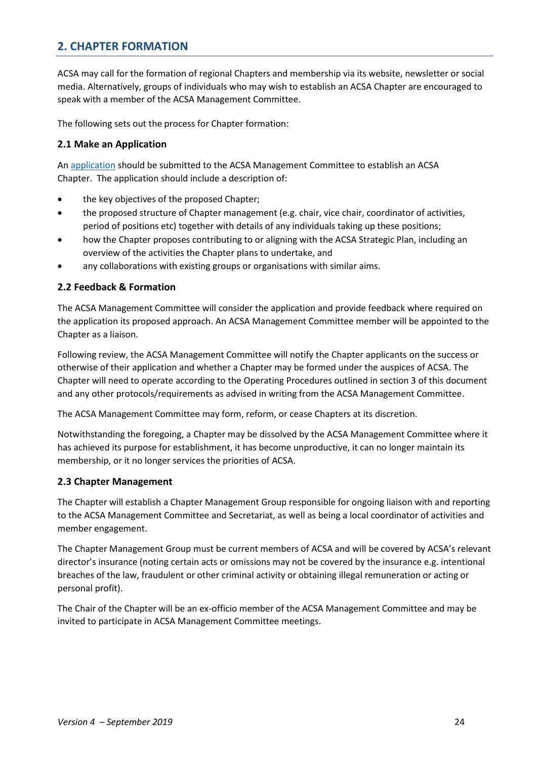# **2. CHAPTER FORMATION**

ACSA may call for the formation of regional Chapters and membership via its website, newsletter or social media. Alternatively, groups of individuals who may wish to establish an ACSA Chapter are encouraged to speak with a member of the ACSA Management Committee.

The following sets out the process for Chapter formation:

#### **2.1 Make an Application**

An [application](http://citizenscience.org.au/wp-content/uploads/2017/09/ACSA-Chapter-Application-Template.docx) should be submitted to the ACSA Management Committee to establish an ACSA Chapter. The application should include a description of:

- the key objectives of the proposed Chapter;
- the proposed structure of Chapter management (e.g. chair, vice chair, coordinator of activities, period of positions etc) together with details of any individuals taking up these positions;
- how the Chapter proposes contributing to or aligning with the ACSA Strategic Plan, including an overview of the activities the Chapter plans to undertake, and
- any collaborations with existing groups or organisations with similar aims.

#### **2.2 Feedback & Formation**

The ACSA Management Committee will consider the application and provide feedback where required on the application its proposed approach. An ACSA Management Committee member will be appointed to the Chapter as a liaison.

Following review, the ACSA Management Committee will notify the Chapter applicants on the success or otherwise of their application and whether a Chapter may be formed under the auspices of ACSA. The Chapter will need to operate according to the Operating Procedures outlined in section 3 of this document and any other protocols/requirements as advised in writing from the ACSA Management Committee.

The ACSA Management Committee may form, reform, or cease Chapters at its discretion.

Notwithstanding the foregoing, a Chapter may be dissolved by the ACSA Management Committee where it has achieved its purpose for establishment, it has become unproductive, it can no longer maintain its membership, or it no longer services the priorities of ACSA.

#### **2.3 Chapter Management**

The Chapter will establish a Chapter Management Group responsible for ongoing liaison with and reporting to the ACSA Management Committee and Secretariat, as well as being a local coordinator of activities and member engagement.

The Chapter Management Group must be current members of ACSA and will be covered by ACSA's relevant director's insurance (noting certain acts or omissions may not be covered by the insurance e.g. intentional breaches of the law, fraudulent or other criminal activity or obtaining illegal remuneration or acting or personal profit).

The Chair of the Chapter will be an ex-officio member of the ACSA Management Committee and may be invited to participate in ACSA Management Committee meetings.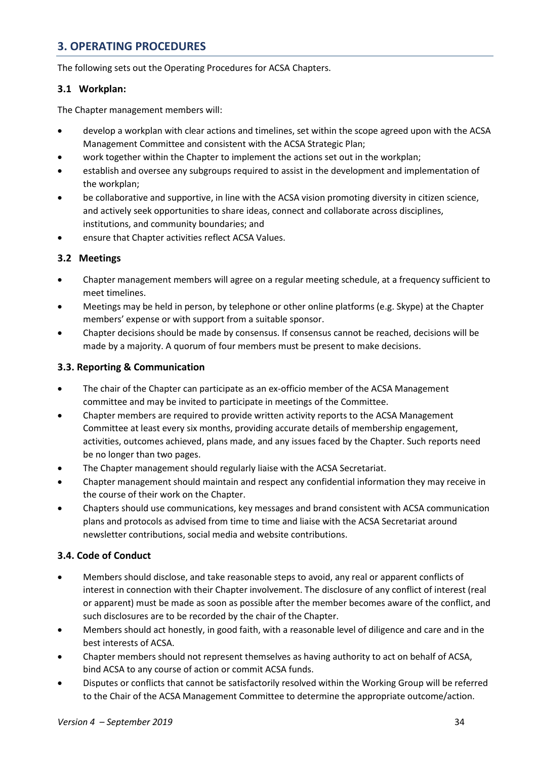# **3. OPERATING PROCEDURES**

The following sets out the Operating Procedures for ACSA Chapters.

#### **3.1 Workplan:**

The Chapter management members will:

- develop a workplan with clear actions and timelines, set within the scope agreed upon with the ACSA Management Committee and consistent with the ACSA Strategic Plan;
- work together within the Chapter to implement the actions set out in the workplan;
- establish and oversee any subgroups required to assist in the development and implementation of the workplan;
- be collaborative and supportive, in line with the ACSA vision promoting diversity in citizen science, and actively seek opportunities to share ideas, connect and collaborate across disciplines, institutions, and community boundaries; and
- ensure that Chapter activities reflect ACSA Values.

#### **3.2 Meetings**

- Chapter management members will agree on a regular meeting schedule, at a frequency sufficient to meet timelines.
- Meetings may be held in person, by telephone or other online platforms (e.g. Skype) at the Chapter members' expense or with support from a suitable sponsor.
- Chapter decisions should be made by consensus. If consensus cannot be reached, decisions will be made by a majority. A quorum of four members must be present to make decisions.

## **3.3. Reporting & Communication**

- The chair of the Chapter can participate as an ex-officio member of the ACSA Management committee and may be invited to participate in meetings of the Committee.
- Chapter members are required to provide written activity reports to the ACSA Management Committee at least every six months, providing accurate details of membership engagement, activities, outcomes achieved, plans made, and any issues faced by the Chapter. Such reports need be no longer than two pages.
- The Chapter management should regularly liaise with the ACSA Secretariat.
- Chapter management should maintain and respect any confidential information they may receive in the course of their work on the Chapter.
- Chapters should use communications, key messages and brand consistent with ACSA communication plans and protocols as advised from time to time and liaise with the ACSA Secretariat around newsletter contributions, social media and website contributions.

## **3.4. Code of Conduct**

- Members should disclose, and take reasonable steps to avoid, any real or apparent conflicts of interest in connection with their Chapter involvement. The disclosure of any conflict of interest (real or apparent) must be made as soon as possible after the member becomes aware of the conflict, and such disclosures are to be recorded by the chair of the Chapter.
- Members should act honestly, in good faith, with a reasonable level of diligence and care and in the best interests of ACSA.
- Chapter members should not represent themselves as having authority to act on behalf of ACSA, bind ACSA to any course of action or commit ACSA funds.
- Disputes or conflicts that cannot be satisfactorily resolved within the Working Group will be referred to the Chair of the ACSA Management Committee to determine the appropriate outcome/action.